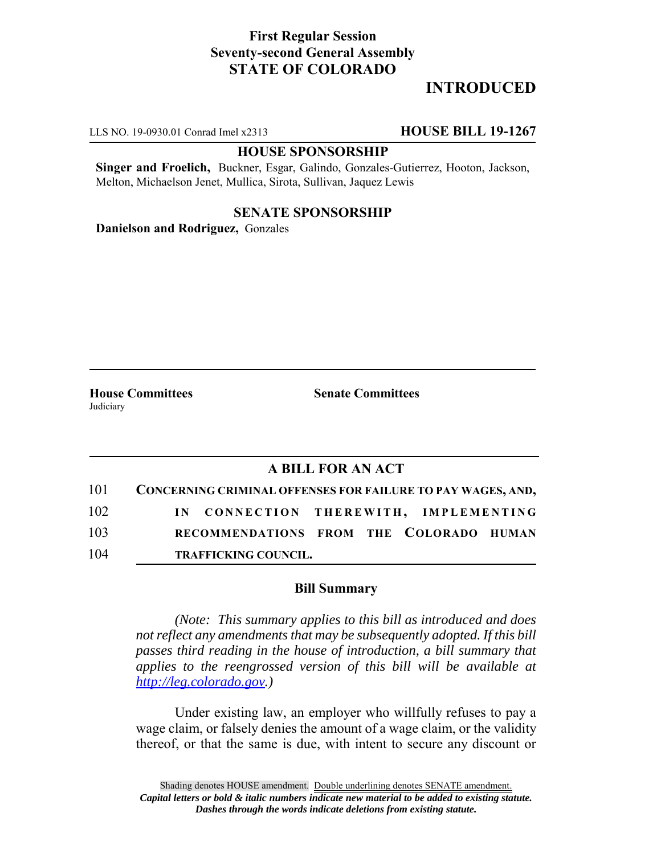### **First Regular Session Seventy-second General Assembly STATE OF COLORADO**

# **INTRODUCED**

LLS NO. 19-0930.01 Conrad Imel x2313 **HOUSE BILL 19-1267**

#### **HOUSE SPONSORSHIP**

**Singer and Froelich,** Buckner, Esgar, Galindo, Gonzales-Gutierrez, Hooton, Jackson, Melton, Michaelson Jenet, Mullica, Sirota, Sullivan, Jaquez Lewis

### **SENATE SPONSORSHIP**

**Danielson and Rodriguez,** Gonzales

Judiciary

**House Committees Senate Committees** 

## **A BILL FOR AN ACT**

|     | 101 CONCERNING CRIMINAL OFFENSES FOR FAILURE TO PAY WAGES, AND, |
|-----|-----------------------------------------------------------------|
| 102 | IN CONNECTION THEREWITH, IMPLEMENTING                           |
| 103 | RECOMMENDATIONS FROM THE COLORADO HUMAN                         |
| 104 | <b>TRAFFICKING COUNCIL.</b>                                     |

### **Bill Summary**

*(Note: This summary applies to this bill as introduced and does not reflect any amendments that may be subsequently adopted. If this bill passes third reading in the house of introduction, a bill summary that applies to the reengrossed version of this bill will be available at http://leg.colorado.gov.)*

Under existing law, an employer who willfully refuses to pay a wage claim, or falsely denies the amount of a wage claim, or the validity thereof, or that the same is due, with intent to secure any discount or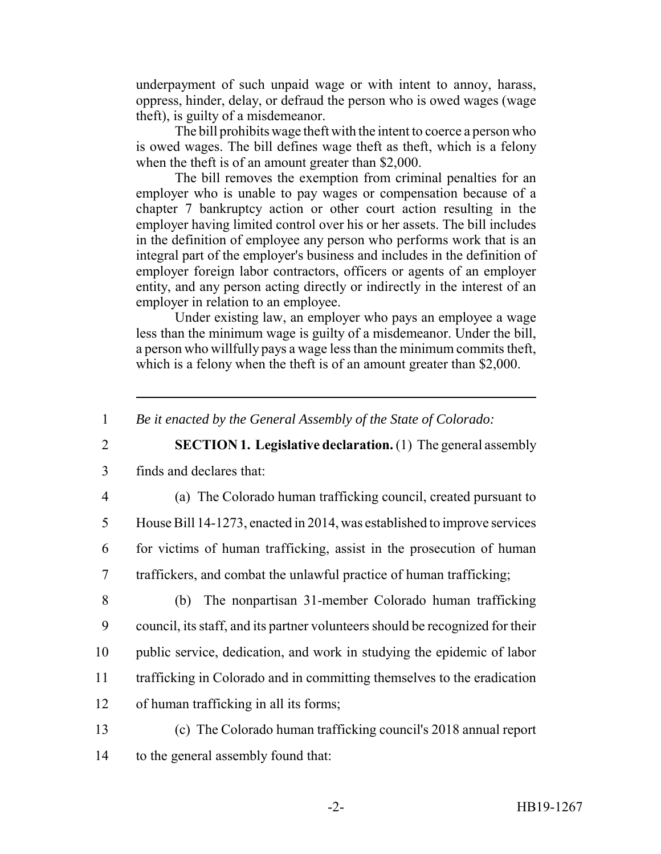underpayment of such unpaid wage or with intent to annoy, harass, oppress, hinder, delay, or defraud the person who is owed wages (wage theft), is guilty of a misdemeanor.

The bill prohibits wage theft with the intent to coerce a person who is owed wages. The bill defines wage theft as theft, which is a felony when the theft is of an amount greater than \$2,000.

The bill removes the exemption from criminal penalties for an employer who is unable to pay wages or compensation because of a chapter 7 bankruptcy action or other court action resulting in the employer having limited control over his or her assets. The bill includes in the definition of employee any person who performs work that is an integral part of the employer's business and includes in the definition of employer foreign labor contractors, officers or agents of an employer entity, and any person acting directly or indirectly in the interest of an employer in relation to an employee.

Under existing law, an employer who pays an employee a wage less than the minimum wage is guilty of a misdemeanor. Under the bill, a person who willfully pays a wage less than the minimum commits theft, which is a felony when the theft is of an amount greater than \$2,000.

2 **SECTION 1. Legislative declaration.** (1) The general assembly

- 3 finds and declares that:
- 

4 (a) The Colorado human trafficking council, created pursuant to

5 House Bill 14-1273, enacted in 2014, was established to improve services

6 for victims of human trafficking, assist in the prosecution of human 7 traffickers, and combat the unlawful practice of human trafficking;

 (b) The nonpartisan 31-member Colorado human trafficking council, its staff, and its partner volunteers should be recognized for their public service, dedication, and work in studying the epidemic of labor trafficking in Colorado and in committing themselves to the eradication of human trafficking in all its forms;

13 (c) The Colorado human trafficking council's 2018 annual report 14 to the general assembly found that:

<sup>1</sup> *Be it enacted by the General Assembly of the State of Colorado:*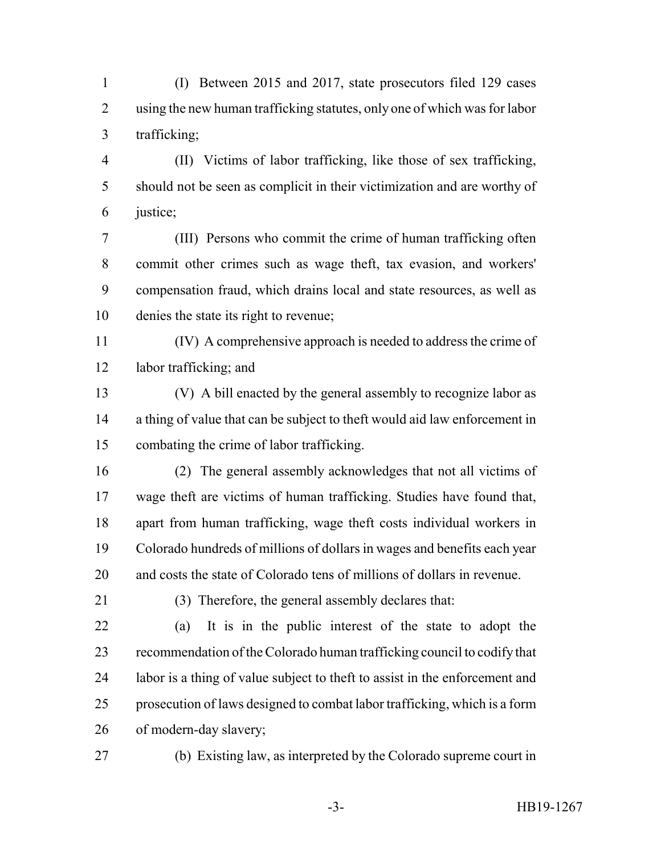(I) Between 2015 and 2017, state prosecutors filed 129 cases using the new human trafficking statutes, only one of which was for labor trafficking;

 (II) Victims of labor trafficking, like those of sex trafficking, should not be seen as complicit in their victimization and are worthy of justice;

 (III) Persons who commit the crime of human trafficking often commit other crimes such as wage theft, tax evasion, and workers' compensation fraud, which drains local and state resources, as well as denies the state its right to revenue;

 (IV) A comprehensive approach is needed to address the crime of labor trafficking; and

 (V) A bill enacted by the general assembly to recognize labor as a thing of value that can be subject to theft would aid law enforcement in combating the crime of labor trafficking.

 (2) The general assembly acknowledges that not all victims of wage theft are victims of human trafficking. Studies have found that, apart from human trafficking, wage theft costs individual workers in Colorado hundreds of millions of dollars in wages and benefits each year and costs the state of Colorado tens of millions of dollars in revenue.

(3) Therefore, the general assembly declares that:

 (a) It is in the public interest of the state to adopt the recommendation of the Colorado human trafficking council to codify that labor is a thing of value subject to theft to assist in the enforcement and prosecution of laws designed to combat labor trafficking, which is a form of modern-day slavery;

(b) Existing law, as interpreted by the Colorado supreme court in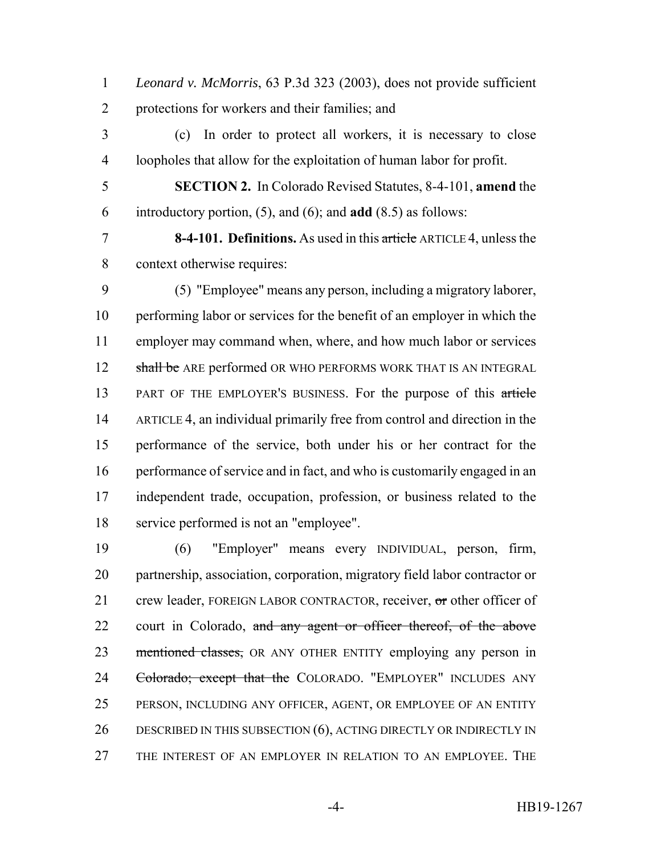*Leonard v. McMorris*, 63 P.3d 323 (2003), does not provide sufficient protections for workers and their families; and

 (c) In order to protect all workers, it is necessary to close loopholes that allow for the exploitation of human labor for profit.

 **SECTION 2.** In Colorado Revised Statutes, 8-4-101, **amend** the introductory portion, (5), and (6); and **add** (8.5) as follows:

 **8-4-101. Definitions.** As used in this article ARTICLE 4, unless the context otherwise requires:

 (5) "Employee" means any person, including a migratory laborer, performing labor or services for the benefit of an employer in which the employer may command when, where, and how much labor or services 12 shall be ARE performed OR WHO PERFORMS WORK THAT IS AN INTEGRAL PART OF THE EMPLOYER'S BUSINESS. For the purpose of this article ARTICLE 4, an individual primarily free from control and direction in the performance of the service, both under his or her contract for the performance of service and in fact, and who is customarily engaged in an independent trade, occupation, profession, or business related to the service performed is not an "employee".

 (6) "Employer" means every INDIVIDUAL, person, firm, partnership, association, corporation, migratory field labor contractor or 21 crew leader, FOREIGN LABOR CONTRACTOR, receiver, or other officer of 22 court in Colorado, and any agent or officer thereof, of the above 23 mentioned classes, OR ANY OTHER ENTITY employing any person in 24 Colorado; except that the COLORADO. "EMPLOYER" INCLUDES ANY PERSON, INCLUDING ANY OFFICER, AGENT, OR EMPLOYEE OF AN ENTITY 26 DESCRIBED IN THIS SUBSECTION (6), ACTING DIRECTLY OR INDIRECTLY IN THE INTEREST OF AN EMPLOYER IN RELATION TO AN EMPLOYEE. THE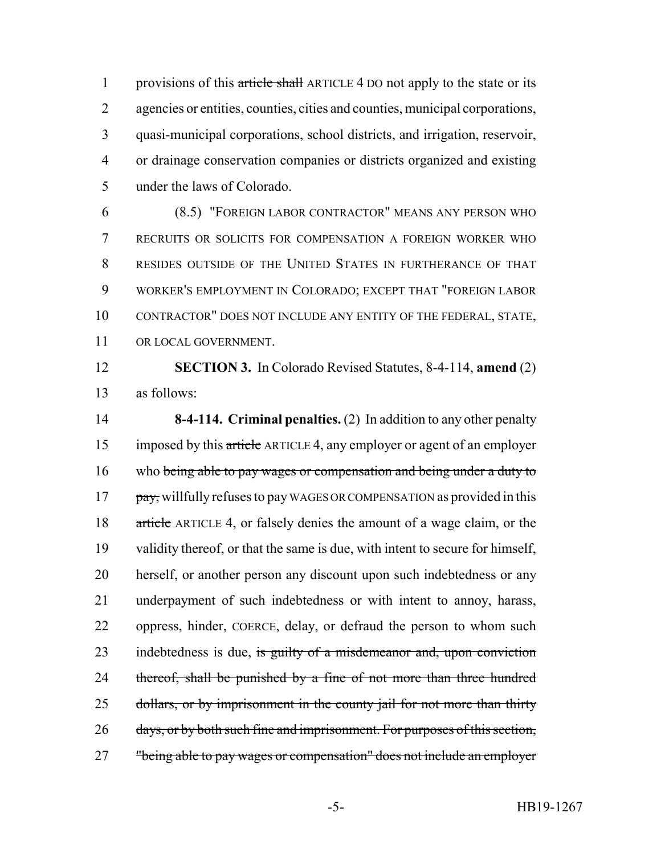1 provisions of this article shall ARTICLE 4 DO not apply to the state or its agencies or entities, counties, cities and counties, municipal corporations, quasi-municipal corporations, school districts, and irrigation, reservoir, or drainage conservation companies or districts organized and existing under the laws of Colorado.

 (8.5) "FOREIGN LABOR CONTRACTOR" MEANS ANY PERSON WHO RECRUITS OR SOLICITS FOR COMPENSATION A FOREIGN WORKER WHO RESIDES OUTSIDE OF THE UNITED STATES IN FURTHERANCE OF THAT WORKER'S EMPLOYMENT IN COLORADO; EXCEPT THAT "FOREIGN LABOR CONTRACTOR" DOES NOT INCLUDE ANY ENTITY OF THE FEDERAL, STATE, OR LOCAL GOVERNMENT.

 **SECTION 3.** In Colorado Revised Statutes, 8-4-114, **amend** (2) as follows:

 **8-4-114. Criminal penalties.** (2) In addition to any other penalty imposed by this article ARTICLE 4, any employer or agent of an employer 16 who being able to pay wages or compensation and being under a duty to pay, willfully refuses to pay WAGES OR COMPENSATION as provided in this 18 article ARTICLE 4, or falsely denies the amount of a wage claim, or the validity thereof, or that the same is due, with intent to secure for himself, herself, or another person any discount upon such indebtedness or any underpayment of such indebtedness or with intent to annoy, harass, oppress, hinder, COERCE, delay, or defraud the person to whom such 23 indebtedness is due, is guilty of a misdemeanor and, upon conviction 24 thereof, shall be punished by a fine of not more than three hundred 25 dollars, or by imprisonment in the county jail for not more than thirty 26 days, or by both such fine and imprisonment. For purposes of this section, "being able to pay wages or compensation" does not include an employer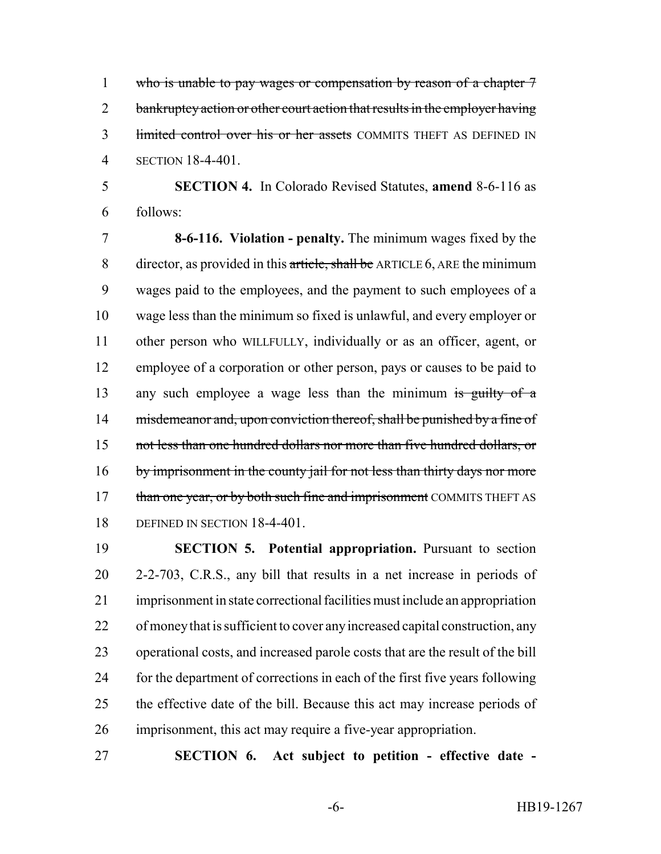1 who is unable to pay wages or compensation by reason of a chapter 7 2 bankruptcy action or other court action that results in the employer having 3 limited control over his or her assets COMMITS THEFT AS DEFINED IN SECTION 18-4-401.

 **SECTION 4.** In Colorado Revised Statutes, **amend** 8-6-116 as follows:

 **8-6-116. Violation - penalty.** The minimum wages fixed by the 8 director, as provided in this article, shall be ARTICLE 6, ARE the minimum wages paid to the employees, and the payment to such employees of a wage less than the minimum so fixed is unlawful, and every employer or other person who WILLFULLY, individually or as an officer, agent, or employee of a corporation or other person, pays or causes to be paid to 13 any such employee a wage less than the minimum is guilty of a 14 misdemeanor and, upon conviction thereof, shall be punished by a fine of not less than one hundred dollars nor more than five hundred dollars, or 16 by imprisonment in the county jail for not less than thirty days nor more 17 than one year, or by both such fine and imprisonment COMMITS THEFT AS DEFINED IN SECTION 18-4-401.

 **SECTION 5. Potential appropriation.** Pursuant to section 2-2-703, C.R.S., any bill that results in a net increase in periods of imprisonment in state correctional facilities must include an appropriation of money that is sufficient to cover any increased capital construction, any operational costs, and increased parole costs that are the result of the bill for the department of corrections in each of the first five years following the effective date of the bill. Because this act may increase periods of imprisonment, this act may require a five-year appropriation.

**SECTION 6. Act subject to petition - effective date -**